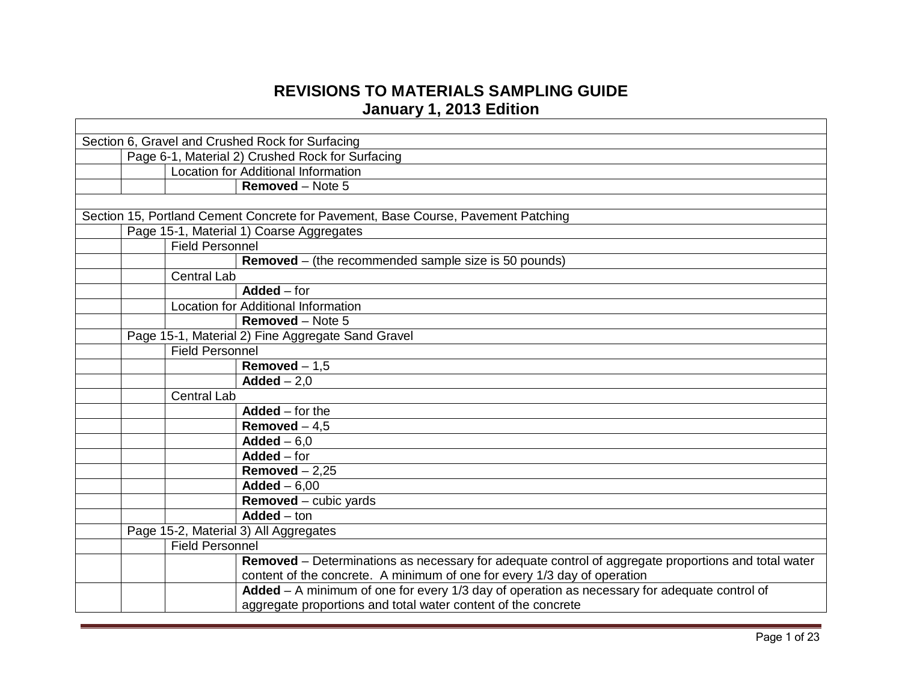## **REVISIONS TO MATERIALS SAMPLING GUIDE January 1, 2013 Edition**

| Section 6, Gravel and Crushed Rock for Surfacing |                                                  |                                                                                                     |  |
|--------------------------------------------------|--------------------------------------------------|-----------------------------------------------------------------------------------------------------|--|
|                                                  | Page 6-1, Material 2) Crushed Rock for Surfacing |                                                                                                     |  |
|                                                  | <b>Location for Additional Information</b>       |                                                                                                     |  |
|                                                  |                                                  | Removed - Note 5                                                                                    |  |
|                                                  |                                                  |                                                                                                     |  |
|                                                  |                                                  | Section 15, Portland Cement Concrete for Pavement, Base Course, Pavement Patching                   |  |
|                                                  | Page 15-1, Material 1) Coarse Aggregates         |                                                                                                     |  |
|                                                  | <b>Field Personnel</b>                           |                                                                                                     |  |
|                                                  |                                                  | <b>Removed</b> – (the recommended sample size is 50 pounds)                                         |  |
|                                                  | <b>Central Lab</b>                               |                                                                                                     |  |
|                                                  | $Added$ – for                                    |                                                                                                     |  |
|                                                  | Location for Additional Information              |                                                                                                     |  |
|                                                  |                                                  | <b>Removed</b> – Note 5                                                                             |  |
|                                                  |                                                  | Page 15-1, Material 2) Fine Aggregate Sand Gravel                                                   |  |
|                                                  | <b>Field Personnel</b>                           |                                                                                                     |  |
|                                                  |                                                  | Removed $-1,5$                                                                                      |  |
|                                                  | $\text{Added} - 2.0$                             |                                                                                                     |  |
|                                                  | <b>Central Lab</b>                               |                                                                                                     |  |
|                                                  |                                                  | $Added$ – for the                                                                                   |  |
|                                                  |                                                  | Removed $-4,5$                                                                                      |  |
|                                                  | $Added - 6.0$                                    |                                                                                                     |  |
|                                                  | Added – for                                      |                                                                                                     |  |
|                                                  |                                                  | Removed $-2,25$                                                                                     |  |
|                                                  | $\mathbf{A}$ dded - 6,00                         |                                                                                                     |  |
|                                                  |                                                  | Removed - cubic yards                                                                               |  |
|                                                  | $Added - ton$                                    |                                                                                                     |  |
|                                                  | Page 15-2, Material 3) All Aggregates            |                                                                                                     |  |
|                                                  | <b>Field Personnel</b>                           |                                                                                                     |  |
|                                                  |                                                  | Removed - Determinations as necessary for adequate control of aggregate proportions and total water |  |
|                                                  |                                                  | content of the concrete. A minimum of one for every 1/3 day of operation                            |  |
|                                                  |                                                  | Added - A minimum of one for every 1/3 day of operation as necessary for adequate control of        |  |
|                                                  |                                                  | aggregate proportions and total water content of the concrete                                       |  |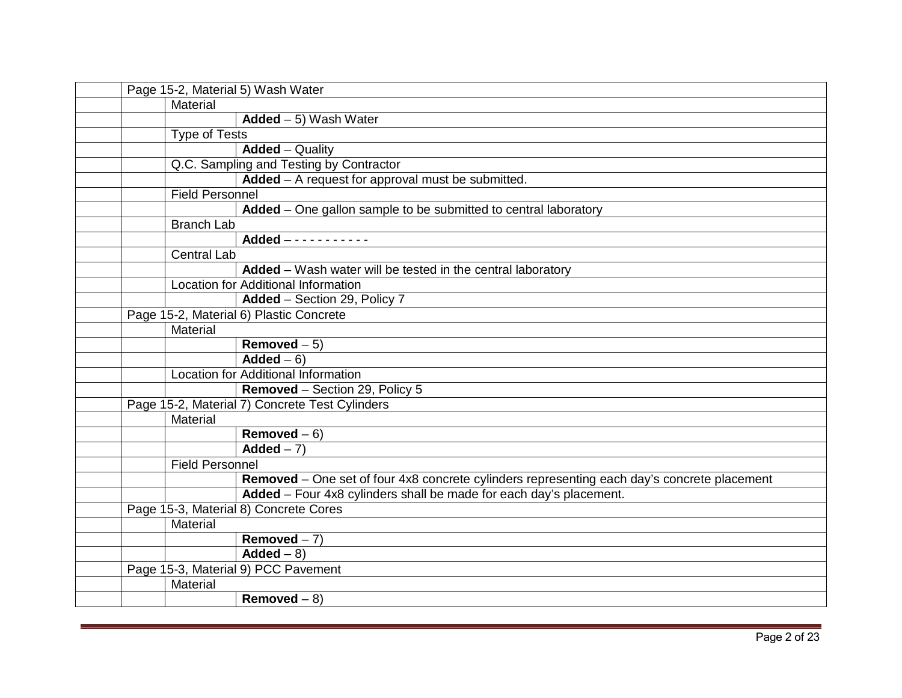| Page 15-2, Material 5) Wash Water |                        |                                                                                             |
|-----------------------------------|------------------------|---------------------------------------------------------------------------------------------|
|                                   | Material               |                                                                                             |
|                                   |                        | $Added - 5)$ Wash Water                                                                     |
|                                   | <b>Type of Tests</b>   |                                                                                             |
|                                   |                        | <b>Added</b> – Quality                                                                      |
|                                   |                        | Q.C. Sampling and Testing by Contractor                                                     |
|                                   |                        | Added - A request for approval must be submitted.                                           |
|                                   | <b>Field Personnel</b> |                                                                                             |
|                                   |                        | Added - One gallon sample to be submitted to central laboratory                             |
|                                   | <b>Branch Lab</b>      |                                                                                             |
|                                   |                        | Added $- - - - - - - - - - -$                                                               |
|                                   | <b>Central Lab</b>     |                                                                                             |
|                                   |                        | Added - Wash water will be tested in the central laboratory                                 |
|                                   |                        | Location for Additional Information                                                         |
|                                   |                        | Added - Section 29, Policy 7                                                                |
|                                   |                        | Page 15-2, Material 6) Plastic Concrete                                                     |
|                                   | Material               |                                                                                             |
|                                   |                        | Removed $-\overline{5}$                                                                     |
|                                   |                        | $Added - 6$                                                                                 |
|                                   |                        | Location for Additional Information                                                         |
|                                   |                        | Removed - Section 29, Policy 5                                                              |
|                                   |                        | Page 15-2, Material 7) Concrete Test Cylinders                                              |
|                                   | Material               |                                                                                             |
|                                   |                        | Removed $-6$ )                                                                              |
|                                   |                        | Added $-7$ )                                                                                |
|                                   | <b>Field Personnel</b> |                                                                                             |
|                                   |                        | Removed - One set of four 4x8 concrete cylinders representing each day's concrete placement |
|                                   |                        | Added - Four 4x8 cylinders shall be made for each day's placement.                          |
|                                   |                        | Page 15-3, Material 8) Concrete Cores                                                       |
|                                   | Material               |                                                                                             |
|                                   |                        | Removed $-7$ )                                                                              |
|                                   |                        | $\overline{\mathsf{Added}} - 8$                                                             |
|                                   |                        | Page 15-3, Material 9) PCC Pavement                                                         |
|                                   | Material               |                                                                                             |
|                                   |                        | Removed $-8$ )                                                                              |
|                                   |                        |                                                                                             |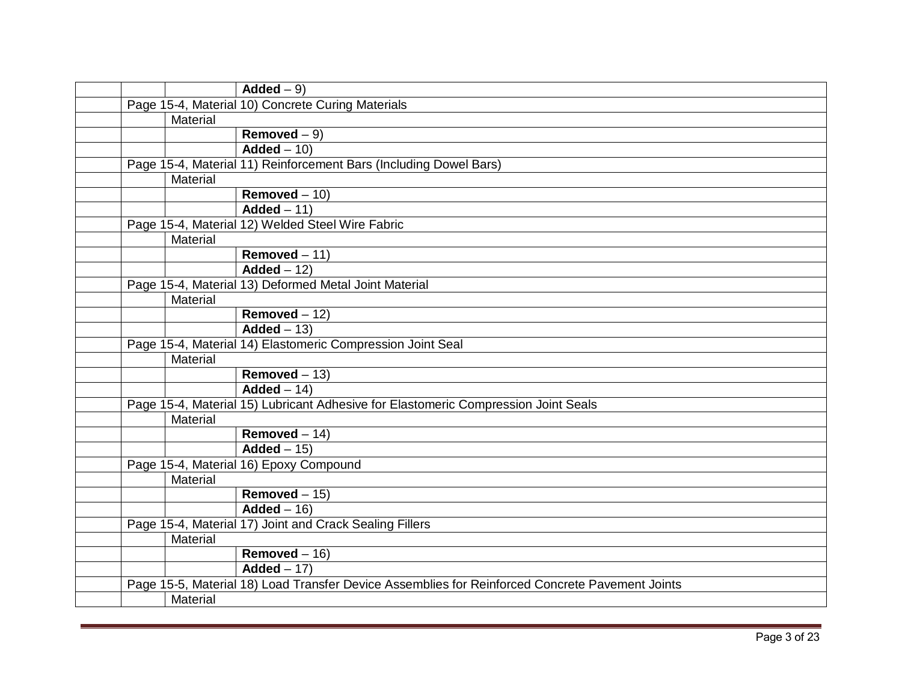|  |          | $Added - 9$                                                                                     |
|--|----------|-------------------------------------------------------------------------------------------------|
|  |          | Page 15-4, Material 10) Concrete Curing Materials                                               |
|  | Material |                                                                                                 |
|  |          | Removed $-9$ )                                                                                  |
|  |          | $\overline{\mathsf{Added}} - 10$                                                                |
|  |          | Page 15-4, Material 11) Reinforcement Bars (Including Dowel Bars)                               |
|  | Material |                                                                                                 |
|  |          | Removed $-10$                                                                                   |
|  |          | $Added - 11)$                                                                                   |
|  |          | Page 15-4, Material 12) Welded Steel Wire Fabric                                                |
|  | Material |                                                                                                 |
|  |          | Removed $-11$ )                                                                                 |
|  |          | $\overline{\mathsf{Added}} - 12$                                                                |
|  |          | Page 15-4, Material 13) Deformed Metal Joint Material                                           |
|  | Material |                                                                                                 |
|  |          | Removed $-12$ )                                                                                 |
|  |          | $Added - 13$                                                                                    |
|  |          | Page 15-4, Material 14) Elastomeric Compression Joint Seal                                      |
|  | Material |                                                                                                 |
|  |          | Removed $-13$ )                                                                                 |
|  |          | $Added - 14)$                                                                                   |
|  |          | Page 15-4, Material 15) Lubricant Adhesive for Elastomeric Compression Joint Seals              |
|  | Material |                                                                                                 |
|  |          | Removed $-14$ )                                                                                 |
|  |          | $Added - 15$                                                                                    |
|  |          | Page 15-4, Material 16) Epoxy Compound                                                          |
|  | Material |                                                                                                 |
|  |          | $Removed - 15)$                                                                                 |
|  |          | $Added - 16$                                                                                    |
|  |          | Page 15-4, Material 17) Joint and Crack Sealing Fillers                                         |
|  | Material |                                                                                                 |
|  |          | Removed $-16$ )                                                                                 |
|  |          | $Added - 17)$                                                                                   |
|  |          | Page 15-5, Material 18) Load Transfer Device Assemblies for Reinforced Concrete Pavement Joints |
|  | Material |                                                                                                 |
|  |          |                                                                                                 |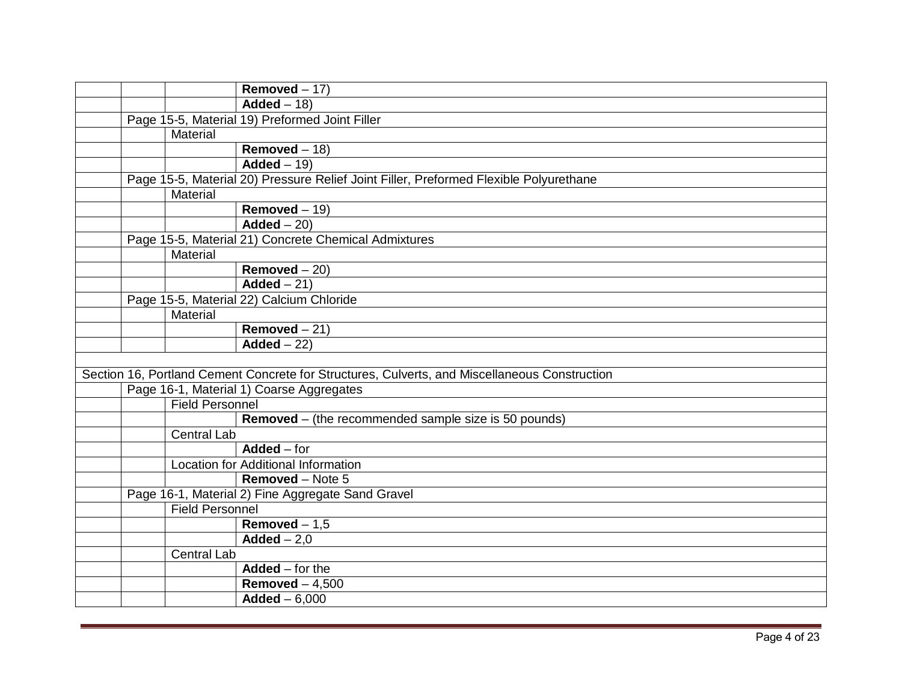|  |                        | Removed $-17$ )                                                                               |
|--|------------------------|-----------------------------------------------------------------------------------------------|
|  |                        | $Added - 18$                                                                                  |
|  |                        | Page 15-5, Material 19) Preformed Joint Filler                                                |
|  | Material               |                                                                                               |
|  |                        | Removed $-18$ )                                                                               |
|  |                        | $Added - 19$                                                                                  |
|  |                        | Page 15-5, Material 20) Pressure Relief Joint Filler, Preformed Flexible Polyurethane         |
|  | Material               |                                                                                               |
|  |                        | Removed $-19$ )                                                                               |
|  |                        | $\overline{\mathsf{Added}} - 20$                                                              |
|  |                        | Page 15-5, Material 21) Concrete Chemical Admixtures                                          |
|  | Material               |                                                                                               |
|  |                        | Removed $-20$ )                                                                               |
|  |                        | $\overline{\mathsf{Added} - 21}$                                                              |
|  |                        | Page 15-5, Material 22) Calcium Chloride                                                      |
|  | Material               |                                                                                               |
|  |                        | $Removed - 21)$                                                                               |
|  |                        | $Added - 22)$                                                                                 |
|  |                        |                                                                                               |
|  |                        | Section 16, Portland Cement Concrete for Structures, Culverts, and Miscellaneous Construction |
|  |                        | Page 16-1, Material 1) Coarse Aggregates                                                      |
|  | <b>Field Personnel</b> |                                                                                               |
|  |                        | <b>Removed</b> – (the recommended sample size is 50 pounds)                                   |
|  | <b>Central Lab</b>     |                                                                                               |
|  |                        | Added – for                                                                                   |
|  |                        | Location for Additional Information                                                           |
|  |                        | <b>Removed</b> – Note 5                                                                       |
|  |                        | Page 16-1, Material 2) Fine Aggregate Sand Gravel                                             |
|  | <b>Field Personnel</b> |                                                                                               |
|  |                        | Removed $-1,5$                                                                                |
|  |                        | $\mathbf{A} \mathbf{d} \mathbf{d} = -2.0$                                                     |
|  | Central Lab            |                                                                                               |
|  |                        | Added $-$ for the                                                                             |
|  |                        | Removed $-4,500$                                                                              |
|  |                        | $Added - 6,000$                                                                               |
|  |                        |                                                                                               |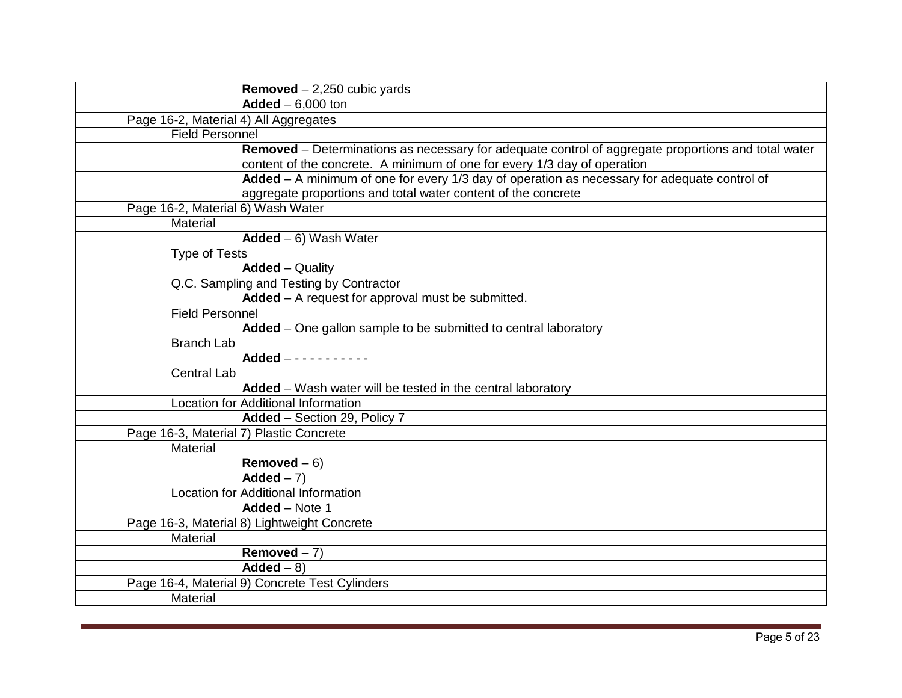|  |                        | <b>Removed</b> $- 2,250$ cubic yards                                                                                                                                            |
|--|------------------------|---------------------------------------------------------------------------------------------------------------------------------------------------------------------------------|
|  |                        | $Added - 6,000$ ton                                                                                                                                                             |
|  |                        | Page 16-2, Material 4) All Aggregates                                                                                                                                           |
|  | <b>Field Personnel</b> |                                                                                                                                                                                 |
|  |                        | Removed – Determinations as necessary for adequate control of aggregate proportions and total water<br>content of the concrete. A minimum of one for every 1/3 day of operation |
|  |                        | Added - A minimum of one for every 1/3 day of operation as necessary for adequate control of                                                                                    |
|  |                        | aggregate proportions and total water content of the concrete                                                                                                                   |
|  |                        | Page 16-2, Material 6) Wash Water                                                                                                                                               |
|  | Material               |                                                                                                                                                                                 |
|  |                        | $Added - 6)$ Wash Water                                                                                                                                                         |
|  | <b>Type of Tests</b>   |                                                                                                                                                                                 |
|  |                        | <b>Added</b> – Quality                                                                                                                                                          |
|  |                        | Q.C. Sampling and Testing by Contractor                                                                                                                                         |
|  |                        | Added - A request for approval must be submitted.                                                                                                                               |
|  | <b>Field Personnel</b> |                                                                                                                                                                                 |
|  |                        | Added - One gallon sample to be submitted to central laboratory                                                                                                                 |
|  | <b>Branch Lab</b>      |                                                                                                                                                                                 |
|  |                        | Added $-$ - - - - - - - - - -                                                                                                                                                   |
|  | <b>Central Lab</b>     |                                                                                                                                                                                 |
|  |                        | Added - Wash water will be tested in the central laboratory                                                                                                                     |
|  |                        | Location for Additional Information                                                                                                                                             |
|  |                        | Added - Section 29, Policy 7                                                                                                                                                    |
|  |                        | Page 16-3, Material 7) Plastic Concrete                                                                                                                                         |
|  | Material               |                                                                                                                                                                                 |
|  |                        | Removed $-6$ )                                                                                                                                                                  |
|  |                        | Added $-7$ )                                                                                                                                                                    |
|  |                        | <b>Location for Additional Information</b>                                                                                                                                      |
|  |                        | Added - Note 1                                                                                                                                                                  |
|  |                        | Page 16-3, Material 8) Lightweight Concrete                                                                                                                                     |
|  | Material               |                                                                                                                                                                                 |
|  |                        | Removed $-7$ )                                                                                                                                                                  |
|  |                        | $Added - 8$                                                                                                                                                                     |
|  |                        | Page 16-4, Material 9) Concrete Test Cylinders                                                                                                                                  |
|  | Material               |                                                                                                                                                                                 |
|  |                        |                                                                                                                                                                                 |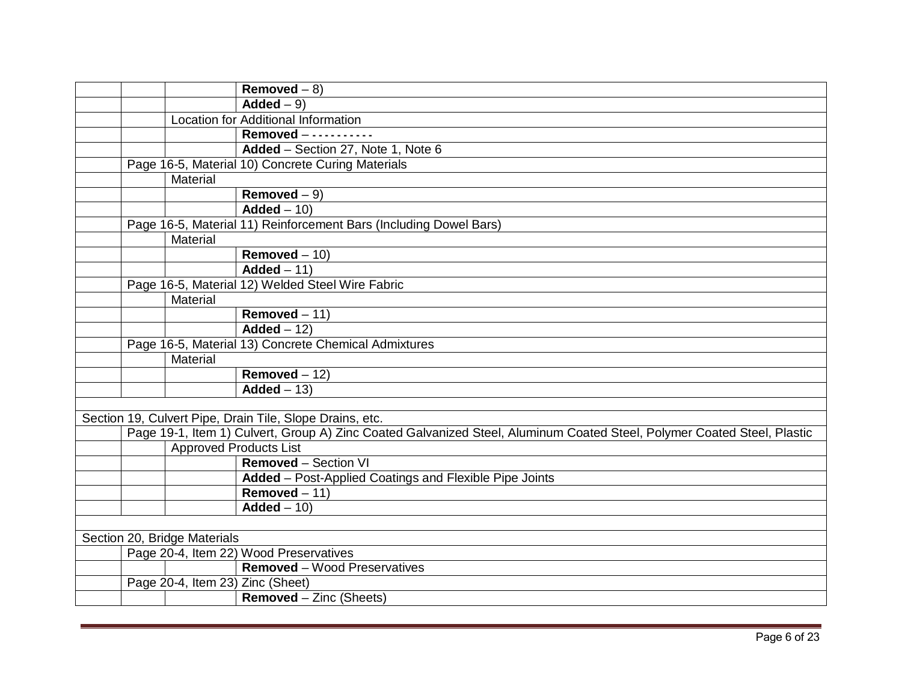|  |                               | Removed $-8$ )                                                                                                          |
|--|-------------------------------|-------------------------------------------------------------------------------------------------------------------------|
|  |                               | $Added - 9$                                                                                                             |
|  |                               | Location for Additional Information                                                                                     |
|  |                               | Removed - - - - - - - - - - -                                                                                           |
|  |                               | Added - Section 27, Note 1, Note 6                                                                                      |
|  |                               | Page 16-5, Material 10) Concrete Curing Materials                                                                       |
|  | Material                      |                                                                                                                         |
|  |                               | Removed $-9$ )                                                                                                          |
|  |                               | $Added - 10$                                                                                                            |
|  |                               | Page 16-5, Material 11) Reinforcement Bars (Including Dowel Bars)                                                       |
|  | Material                      |                                                                                                                         |
|  |                               | Removed $-10$ )                                                                                                         |
|  |                               | $\overline{\mathsf{Added}} - 11$                                                                                        |
|  |                               | Page 16-5, Material 12) Welded Steel Wire Fabric                                                                        |
|  | Material                      |                                                                                                                         |
|  |                               | Removed $-11$ )                                                                                                         |
|  |                               | Added $-12$ )                                                                                                           |
|  |                               | Page 16-5, Material 13) Concrete Chemical Admixtures                                                                    |
|  | Material                      |                                                                                                                         |
|  |                               | Removed $-12$ )                                                                                                         |
|  |                               | $\overline{\mathsf{Added}} - 13$                                                                                        |
|  |                               |                                                                                                                         |
|  |                               | Section 19, Culvert Pipe, Drain Tile, Slope Drains, etc.                                                                |
|  |                               | Page 19-1, Item 1) Culvert, Group A) Zinc Coated Galvanized Steel, Aluminum Coated Steel, Polymer Coated Steel, Plastic |
|  | <b>Approved Products List</b> |                                                                                                                         |
|  |                               | <b>Removed - Section VI</b>                                                                                             |
|  |                               | Added - Post-Applied Coatings and Flexible Pipe Joints                                                                  |
|  |                               | Removed $-11$ )                                                                                                         |
|  |                               | $Added - 10$                                                                                                            |
|  |                               |                                                                                                                         |
|  | Section 20, Bridge Materials  |                                                                                                                         |
|  |                               | Page 20-4, Item 22) Wood Preservatives                                                                                  |
|  |                               | <b>Removed</b> – Wood Preservatives                                                                                     |
|  |                               | Page 20-4, Item 23) Zinc (Sheet)                                                                                        |
|  |                               | <b>Removed</b> – Zinc (Sheets)                                                                                          |
|  |                               |                                                                                                                         |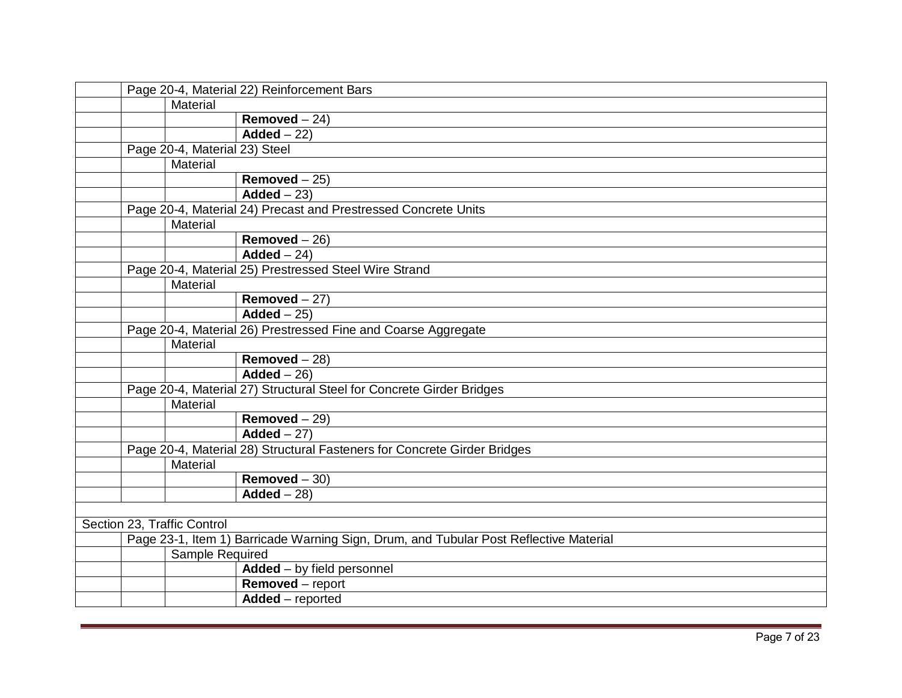|  | Page 20-4, Material 22) Reinforcement Bars |                                                                                       |  |
|--|--------------------------------------------|---------------------------------------------------------------------------------------|--|
|  | <b>Material</b>                            |                                                                                       |  |
|  |                                            | Removed $-24$ )                                                                       |  |
|  |                                            | $Added - 22)$                                                                         |  |
|  | Page 20-4, Material 23) Steel              |                                                                                       |  |
|  | Material                                   |                                                                                       |  |
|  |                                            | Removed $-25$ )                                                                       |  |
|  |                                            | $Added - 23$                                                                          |  |
|  |                                            | Page 20-4, Material 24) Precast and Prestressed Concrete Units                        |  |
|  | Material                                   |                                                                                       |  |
|  |                                            | Removed $-26$ )                                                                       |  |
|  |                                            | $\overline{\mathsf{Added} - 24}$                                                      |  |
|  |                                            | Page 20-4, Material 25) Prestressed Steel Wire Strand                                 |  |
|  | Material                                   |                                                                                       |  |
|  |                                            | Removed $-27$ )                                                                       |  |
|  |                                            | $\overline{\mathsf{Added}} - 25$                                                      |  |
|  |                                            | Page 20-4, Material 26) Prestressed Fine and Coarse Aggregate                         |  |
|  | Material                                   |                                                                                       |  |
|  |                                            | Removed $-28$ )                                                                       |  |
|  |                                            | $Added - 26$                                                                          |  |
|  |                                            | Page 20-4, Material 27) Structural Steel for Concrete Girder Bridges                  |  |
|  | Material                                   |                                                                                       |  |
|  |                                            | Removed $-29$ )                                                                       |  |
|  |                                            | Added $-27$ )                                                                         |  |
|  |                                            | Page 20-4, Material 28) Structural Fasteners for Concrete Girder Bridges              |  |
|  | Material                                   |                                                                                       |  |
|  |                                            | Removed $-30$ )                                                                       |  |
|  |                                            | $Added - 28$                                                                          |  |
|  |                                            |                                                                                       |  |
|  | Section 23, Traffic Control                |                                                                                       |  |
|  |                                            | Page 23-1, Item 1) Barricade Warning Sign, Drum, and Tubular Post Reflective Material |  |
|  | Sample Required                            |                                                                                       |  |
|  |                                            | Added - by field personnel                                                            |  |
|  |                                            | Removed - report                                                                      |  |
|  |                                            | Added - reported                                                                      |  |
|  |                                            |                                                                                       |  |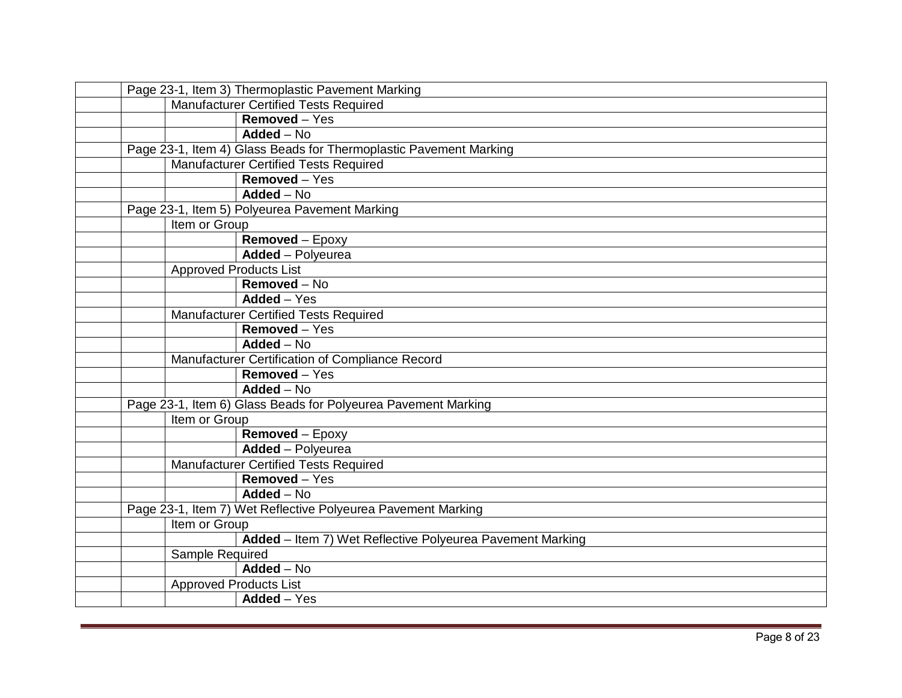| Page 23-1, Item 3) Thermoplastic Pavement Marking |                               |                                                                   |
|---------------------------------------------------|-------------------------------|-------------------------------------------------------------------|
|                                                   |                               | <b>Manufacturer Certified Tests Required</b>                      |
|                                                   |                               | Removed - Yes                                                     |
|                                                   |                               | Added - No                                                        |
|                                                   |                               | Page 23-1, Item 4) Glass Beads for Thermoplastic Pavement Marking |
|                                                   |                               | Manufacturer Certified Tests Required                             |
|                                                   |                               | Removed - Yes                                                     |
|                                                   |                               | Added - No                                                        |
|                                                   |                               | Page 23-1, Item 5) Polyeurea Pavement Marking                     |
|                                                   | Item or Group                 |                                                                   |
|                                                   |                               | Removed - Epoxy                                                   |
|                                                   |                               | Added - Polyeurea                                                 |
|                                                   | <b>Approved Products List</b> |                                                                   |
|                                                   |                               | $Removed - No$                                                    |
|                                                   |                               | Added - Yes                                                       |
|                                                   |                               | <b>Manufacturer Certified Tests Required</b>                      |
|                                                   |                               | Removed - Yes                                                     |
|                                                   |                               | $Added - No$                                                      |
|                                                   |                               | Manufacturer Certification of Compliance Record                   |
|                                                   |                               | Removed - Yes                                                     |
|                                                   |                               | Added - No                                                        |
|                                                   |                               | Page 23-1, Item 6) Glass Beads for Polyeurea Pavement Marking     |
|                                                   | Item or Group                 |                                                                   |
|                                                   |                               | Removed - Epoxy                                                   |
|                                                   |                               | Added - Polyeurea                                                 |
|                                                   |                               | <b>Manufacturer Certified Tests Required</b>                      |
|                                                   |                               | Removed - Yes                                                     |
|                                                   |                               | $Added - No$                                                      |
|                                                   |                               | Page 23-1, Item 7) Wet Reflective Polyeurea Pavement Marking      |
|                                                   | Item or Group                 |                                                                   |
|                                                   |                               | Added - Item 7) Wet Reflective Polyeurea Pavement Marking         |
|                                                   | Sample Required               |                                                                   |
|                                                   |                               | $Added - No$                                                      |
|                                                   | <b>Approved Products List</b> |                                                                   |
|                                                   |                               | Added - Yes                                                       |
|                                                   |                               |                                                                   |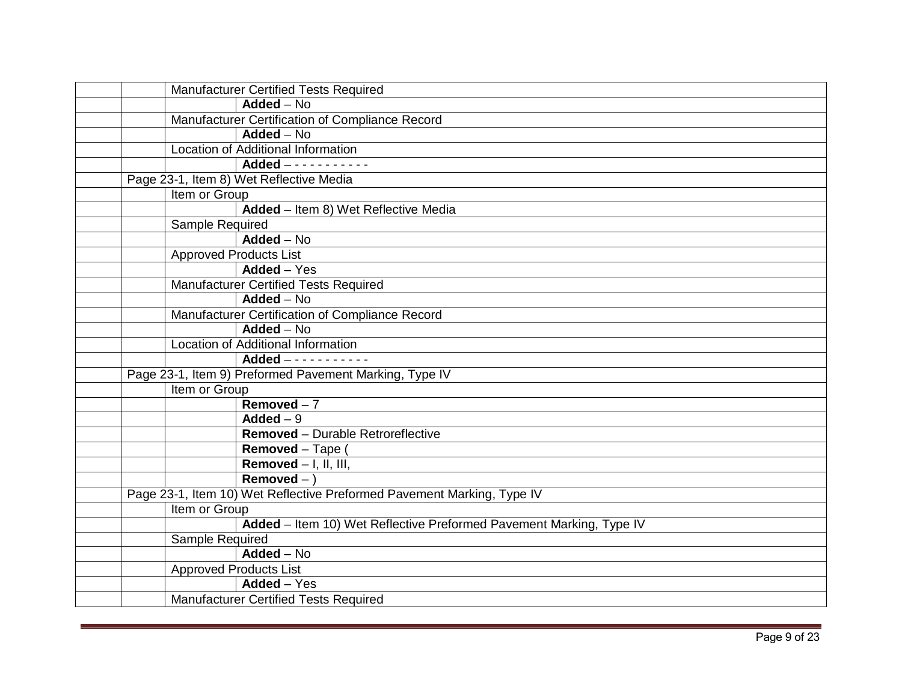|                 | Manufacturer Certified Tests Required                                  |
|-----------------|------------------------------------------------------------------------|
|                 | $Added - No$                                                           |
|                 | Manufacturer Certification of Compliance Record                        |
|                 | Added - No                                                             |
|                 | <b>Location of Additional Information</b>                              |
|                 |                                                                        |
|                 | Page 23-1, Item 8) Wet Reflective Media                                |
| Item or Group   |                                                                        |
|                 | Added - Item 8) Wet Reflective Media                                   |
| Sample Required |                                                                        |
|                 | Added - No                                                             |
|                 | <b>Approved Products List</b>                                          |
|                 | Added - Yes                                                            |
|                 | Manufacturer Certified Tests Required                                  |
|                 | Added - No                                                             |
|                 | Manufacturer Certification of Compliance Record                        |
|                 | <b>Added - No</b>                                                      |
|                 | Location of Additional Information                                     |
|                 |                                                                        |
|                 | Page 23-1, Item 9) Preformed Pavement Marking, Type IV                 |
| Item or Group   |                                                                        |
|                 | Removed $-7$                                                           |
|                 | Added $-9$                                                             |
|                 | Removed - Durable Retroreflective                                      |
|                 | Removed - Tape                                                         |
|                 | Removed $-$ I, II, III,                                                |
|                 | $Removed - )$                                                          |
|                 | Page 23-1, Item 10) Wet Reflective Preformed Pavement Marking, Type IV |
| Item or Group   |                                                                        |
|                 | Added - Item 10) Wet Reflective Preformed Pavement Marking, Type IV    |
| Sample Required |                                                                        |
|                 | Added - No                                                             |
|                 | <b>Approved Products List</b>                                          |
|                 | Added - Yes                                                            |
|                 | <b>Manufacturer Certified Tests Required</b>                           |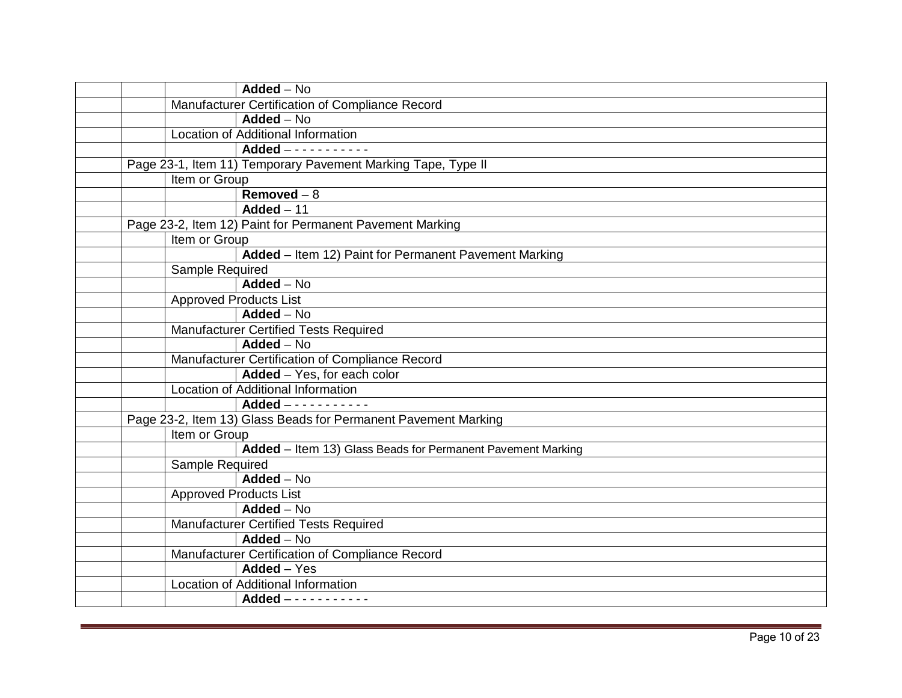|  |                 | Added $-\overline{N_0}$                                        |
|--|-----------------|----------------------------------------------------------------|
|  |                 | Manufacturer Certification of Compliance Record                |
|  |                 | Added - No                                                     |
|  |                 | <b>Location of Additional Information</b>                      |
|  |                 | Added -----------                                              |
|  |                 | Page 23-1, Item 11) Temporary Pavement Marking Tape, Type II   |
|  | Item or Group   |                                                                |
|  |                 | $Removed - 8$                                                  |
|  |                 | Added $-11$                                                    |
|  |                 | Page 23-2, Item 12) Paint for Permanent Pavement Marking       |
|  | Item or Group   |                                                                |
|  |                 | Added - Item 12) Paint for Permanent Pavement Marking          |
|  | Sample Required |                                                                |
|  |                 | Added - No                                                     |
|  |                 | <b>Approved Products List</b>                                  |
|  |                 | $Added - No$                                                   |
|  |                 | <b>Manufacturer Certified Tests Required</b>                   |
|  |                 | $Added - No$                                                   |
|  |                 | Manufacturer Certification of Compliance Record                |
|  |                 | Added - Yes, for each color                                    |
|  |                 | <b>Location of Additional Information</b>                      |
|  |                 | Added -----------                                              |
|  |                 | Page 23-2, Item 13) Glass Beads for Permanent Pavement Marking |
|  | Item or Group   |                                                                |
|  |                 | Added - Item 13) Glass Beads for Permanent Pavement Marking    |
|  | Sample Required |                                                                |
|  |                 | Added - No                                                     |
|  |                 | Approved Products List                                         |
|  |                 | Added - No                                                     |
|  |                 | Manufacturer Certified Tests Required                          |
|  |                 | $Added - No$                                                   |
|  |                 | Manufacturer Certification of Compliance Record                |
|  |                 | Added - Yes                                                    |
|  |                 | Location of Additional Information                             |
|  |                 | $Added$ - - - - - - - - - - -                                  |
|  |                 |                                                                |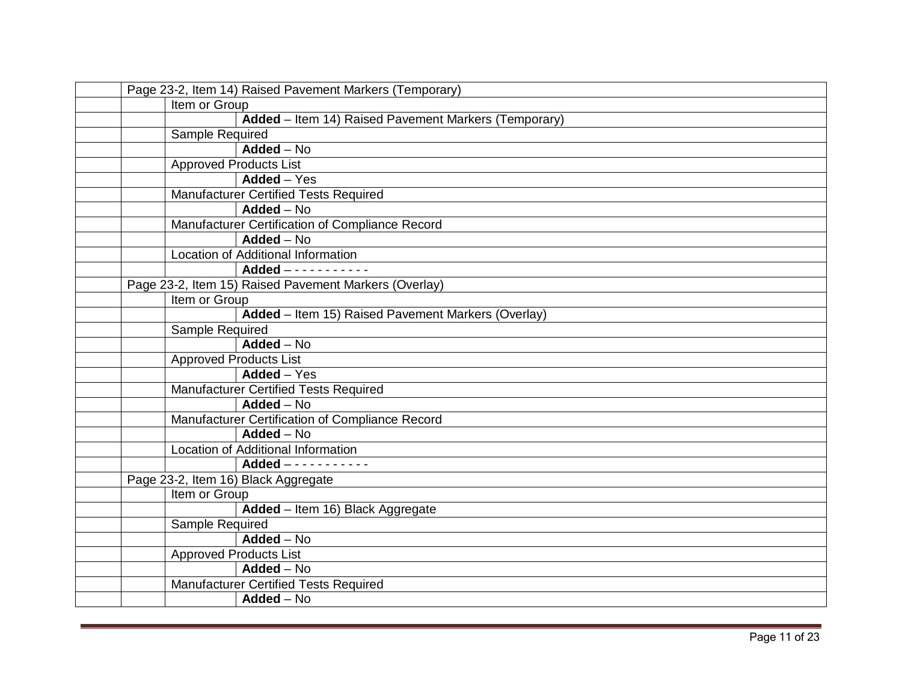|  |                               | Page 23-2, Item 14) Raised Pavement Markers (Temporary) |
|--|-------------------------------|---------------------------------------------------------|
|  | Item or Group                 |                                                         |
|  |                               | Added - Item 14) Raised Pavement Markers (Temporary)    |
|  | <b>Sample Required</b>        |                                                         |
|  |                               | Added - No                                              |
|  | <b>Approved Products List</b> |                                                         |
|  |                               | Added - Yes                                             |
|  |                               | Manufacturer Certified Tests Required                   |
|  |                               | $\overline{\mathsf{Added}} - \mathsf{No}$               |
|  |                               | Manufacturer Certification of Compliance Record         |
|  |                               | Added - No                                              |
|  |                               | <b>Location of Additional Information</b>               |
|  |                               | Added $- - - - - - - - - - -$                           |
|  |                               | Page 23-2, Item 15) Raised Pavement Markers (Overlay)   |
|  | Item or Group                 |                                                         |
|  |                               | Added - Item 15) Raised Pavement Markers (Overlay)      |
|  | Sample Required               |                                                         |
|  |                               | Added - No                                              |
|  | <b>Approved Products List</b> |                                                         |
|  |                               | Added - Yes                                             |
|  |                               | <b>Manufacturer Certified Tests Required</b>            |
|  |                               | Added - No                                              |
|  |                               | Manufacturer Certification of Compliance Record         |
|  |                               | Added - No                                              |
|  |                               | Location of Additional Information                      |
|  |                               | Added $- - - - - - - - - - -$                           |
|  |                               | Page 23-2, Item 16) Black Aggregate                     |
|  | Item or Group                 |                                                         |
|  |                               | Added - Item 16) Black Aggregate                        |
|  | Sample Required               |                                                         |
|  |                               | Added - No                                              |
|  |                               | <b>Approved Products List</b>                           |
|  |                               | $Added - No$                                            |
|  |                               | Manufacturer Certified Tests Required                   |
|  |                               | Added - No                                              |
|  |                               |                                                         |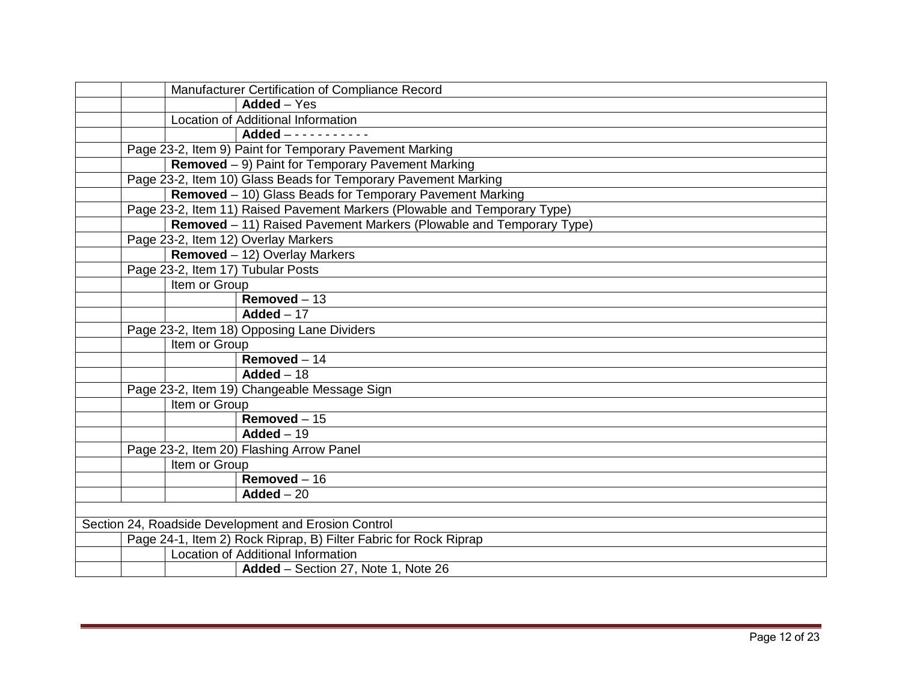|  | Manufacturer Certification of Compliance Record                           |
|--|---------------------------------------------------------------------------|
|  | Added - Yes                                                               |
|  | Location of Additional Information                                        |
|  | Added -----------                                                         |
|  | Page 23-2, Item 9) Paint for Temporary Pavement Marking                   |
|  | Removed - 9) Paint for Temporary Pavement Marking                         |
|  | Page 23-2, Item 10) Glass Beads for Temporary Pavement Marking            |
|  | Removed - 10) Glass Beads for Temporary Pavement Marking                  |
|  | Page 23-2, Item 11) Raised Pavement Markers (Plowable and Temporary Type) |
|  | Removed - 11) Raised Pavement Markers (Plowable and Temporary Type)       |
|  | Page 23-2, Item 12) Overlay Markers                                       |
|  | Removed - 12) Overlay Markers                                             |
|  | Page 23-2, Item 17) Tubular Posts                                         |
|  | Item or Group                                                             |
|  | $Removed - 13$                                                            |
|  | Added $-17$                                                               |
|  | Page 23-2, Item 18) Opposing Lane Dividers                                |
|  | Item or Group                                                             |
|  | $Removed - 14$                                                            |
|  | Added $-18$                                                               |
|  | Page 23-2, Item 19) Changeable Message Sign                               |
|  | Item or Group                                                             |
|  | Removed $-15$                                                             |
|  | $Added - 19$                                                              |
|  | Page 23-2, Item 20) Flashing Arrow Panel                                  |
|  | Item or Group                                                             |
|  | Removed $-16$                                                             |
|  | $\mathbf{Added} - 20$                                                     |
|  |                                                                           |
|  | Section 24, Roadside Development and Erosion Control                      |
|  | Page 24-1, Item 2) Rock Riprap, B) Filter Fabric for Rock Riprap          |
|  | Location of Additional Information                                        |
|  | Added - Section 27, Note 1, Note 26                                       |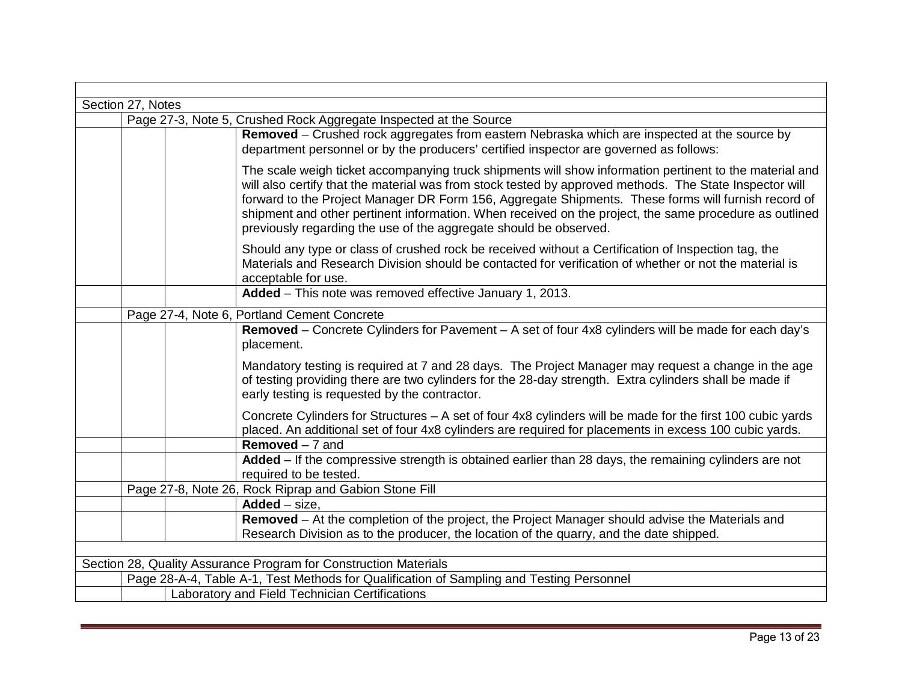| Section 27, Notes                                                                                                                                                                                                                                                                                                                                                                                                                                                                                        |  |  |  |  |  |
|----------------------------------------------------------------------------------------------------------------------------------------------------------------------------------------------------------------------------------------------------------------------------------------------------------------------------------------------------------------------------------------------------------------------------------------------------------------------------------------------------------|--|--|--|--|--|
| Page 27-3, Note 5, Crushed Rock Aggregate Inspected at the Source                                                                                                                                                                                                                                                                                                                                                                                                                                        |  |  |  |  |  |
| Removed – Crushed rock aggregates from eastern Nebraska which are inspected at the source by<br>department personnel or by the producers' certified inspector are governed as follows:                                                                                                                                                                                                                                                                                                                   |  |  |  |  |  |
| The scale weigh ticket accompanying truck shipments will show information pertinent to the material and<br>will also certify that the material was from stock tested by approved methods. The State Inspector will<br>forward to the Project Manager DR Form 156, Aggregate Shipments. These forms will furnish record of<br>shipment and other pertinent information. When received on the project, the same procedure as outlined<br>previously regarding the use of the aggregate should be observed. |  |  |  |  |  |
| Should any type or class of crushed rock be received without a Certification of Inspection tag, the<br>Materials and Research Division should be contacted for verification of whether or not the material is<br>acceptable for use.                                                                                                                                                                                                                                                                     |  |  |  |  |  |
| Added - This note was removed effective January 1, 2013.                                                                                                                                                                                                                                                                                                                                                                                                                                                 |  |  |  |  |  |
| Page 27-4, Note 6, Portland Cement Concrete                                                                                                                                                                                                                                                                                                                                                                                                                                                              |  |  |  |  |  |
| Removed – Concrete Cylinders for Pavement – A set of four 4x8 cylinders will be made for each day's<br>placement.                                                                                                                                                                                                                                                                                                                                                                                        |  |  |  |  |  |
| Mandatory testing is required at 7 and 28 days. The Project Manager may request a change in the age<br>of testing providing there are two cylinders for the 28-day strength. Extra cylinders shall be made if<br>early testing is requested by the contractor.                                                                                                                                                                                                                                           |  |  |  |  |  |
| Concrete Cylinders for Structures - A set of four 4x8 cylinders will be made for the first 100 cubic yards<br>placed. An additional set of four 4x8 cylinders are required for placements in excess 100 cubic yards.                                                                                                                                                                                                                                                                                     |  |  |  |  |  |
| <b>Removed</b> $-7$ and                                                                                                                                                                                                                                                                                                                                                                                                                                                                                  |  |  |  |  |  |
| Added - If the compressive strength is obtained earlier than 28 days, the remaining cylinders are not<br>required to be tested.                                                                                                                                                                                                                                                                                                                                                                          |  |  |  |  |  |
| Page 27-8, Note 26, Rock Riprap and Gabion Stone Fill                                                                                                                                                                                                                                                                                                                                                                                                                                                    |  |  |  |  |  |
| $\overline{\mathsf{Added}} - \mathsf{size},$                                                                                                                                                                                                                                                                                                                                                                                                                                                             |  |  |  |  |  |
| Removed – At the completion of the project, the Project Manager should advise the Materials and                                                                                                                                                                                                                                                                                                                                                                                                          |  |  |  |  |  |
| Research Division as to the producer, the location of the quarry, and the date shipped.                                                                                                                                                                                                                                                                                                                                                                                                                  |  |  |  |  |  |
|                                                                                                                                                                                                                                                                                                                                                                                                                                                                                                          |  |  |  |  |  |
| Section 28, Quality Assurance Program for Construction Materials                                                                                                                                                                                                                                                                                                                                                                                                                                         |  |  |  |  |  |
| Page 28-A-4, Table A-1, Test Methods for Qualification of Sampling and Testing Personnel                                                                                                                                                                                                                                                                                                                                                                                                                 |  |  |  |  |  |
| Laboratory and Field Technician Certifications                                                                                                                                                                                                                                                                                                                                                                                                                                                           |  |  |  |  |  |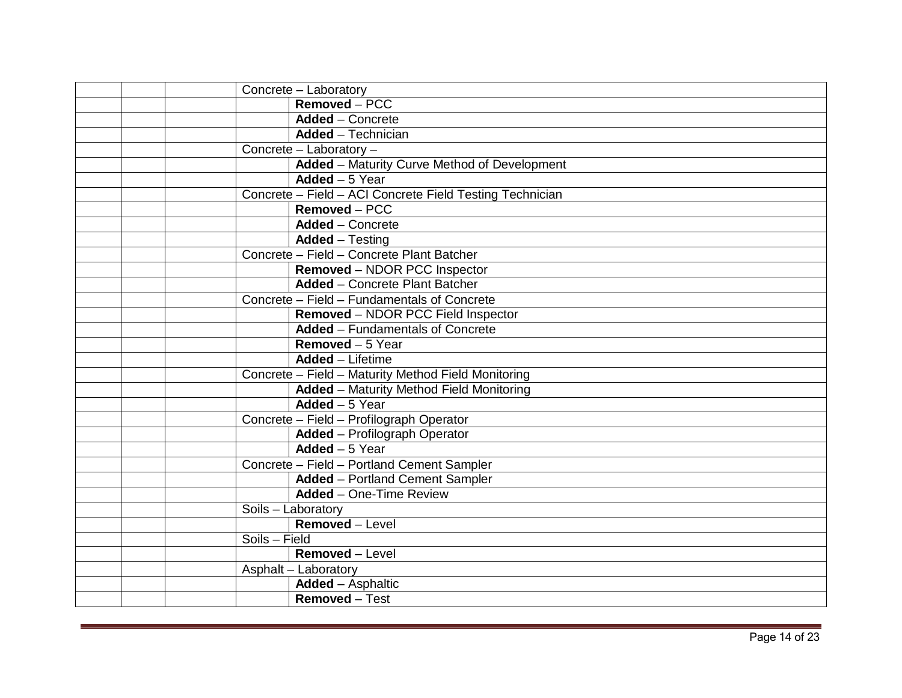|               | Concrete - Laboratory                                    |
|---------------|----------------------------------------------------------|
|               | Removed - PCC                                            |
|               | <b>Added</b> – Concrete                                  |
|               | <b>Added</b> - Technician                                |
|               | Concrete - Laboratory -                                  |
|               | <b>Added</b> – Maturity Curve Method of Development      |
|               | Added $-5$ Year                                          |
|               | Concrete - Field - ACI Concrete Field Testing Technician |
|               | Removed - PCC                                            |
|               | <b>Added</b> – Concrete                                  |
|               | <b>Added</b> – Testing                                   |
|               | Concrete - Field - Concrete Plant Batcher                |
|               | Removed - NDOR PCC Inspector                             |
|               | <b>Added</b> - Concrete Plant Batcher                    |
|               | Concrete - Field - Fundamentals of Concrete              |
|               | Removed - NDOR PCC Field Inspector                       |
|               | <b>Added - Fundamentals of Concrete</b>                  |
|               | <b>Removed</b> - 5 Year                                  |
|               | <b>Added</b> - Lifetime                                  |
|               | Concrete - Field - Maturity Method Field Monitoring      |
|               | <b>Added</b> - Maturity Method Field Monitoring          |
|               | Added - 5 Year                                           |
|               | Concrete - Field - Profilograph Operator                 |
|               | <b>Added</b> - Profilograph Operator                     |
|               | Added - 5 Year                                           |
|               | Concrete - Field - Portland Cement Sampler               |
|               | <b>Added</b> - Portland Cement Sampler                   |
|               | <b>Added</b> - One-Time Review                           |
|               | Soils - Laboratory                                       |
|               | Removed - Level                                          |
| Soils - Field |                                                          |
|               | Removed - Level                                          |
|               | Asphalt - Laboratory                                     |
|               | Added - Asphaltic                                        |
|               | Removed - Test                                           |
|               |                                                          |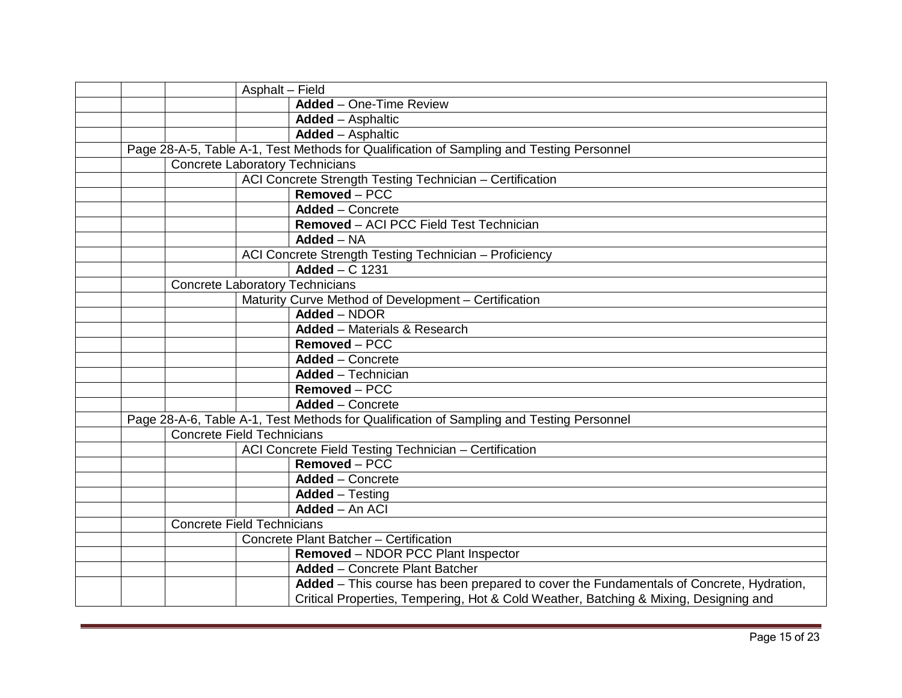|                                        | Asphalt - Field                                                                          |
|----------------------------------------|------------------------------------------------------------------------------------------|
|                                        | <b>Added</b> – One-Time Review                                                           |
|                                        | <b>Added</b> – Asphaltic                                                                 |
|                                        | <b>Added - Asphaltic</b>                                                                 |
|                                        | Page 28-A-5, Table A-1, Test Methods for Qualification of Sampling and Testing Personnel |
| <b>Concrete Laboratory Technicians</b> |                                                                                          |
|                                        | ACI Concrete Strength Testing Technician - Certification                                 |
|                                        | Removed - PCC                                                                            |
|                                        | <b>Added</b> – Concrete                                                                  |
|                                        | Removed - ACI PCC Field Test Technician                                                  |
|                                        | $Added - NA$                                                                             |
|                                        | ACI Concrete Strength Testing Technician - Proficiency                                   |
|                                        | Added $- C$ 1231                                                                         |
| <b>Concrete Laboratory Technicians</b> |                                                                                          |
|                                        | Maturity Curve Method of Development - Certification                                     |
|                                        | Added - NDOR                                                                             |
|                                        | <b>Added</b> - Materials & Research                                                      |
|                                        | Removed – PCC                                                                            |
|                                        | <b>Added</b> – Concrete                                                                  |
|                                        | <b>Added</b> - Technician                                                                |
|                                        | Removed - PCC                                                                            |
|                                        | <b>Added</b> – Concrete                                                                  |
|                                        | Page 28-A-6, Table A-1, Test Methods for Qualification of Sampling and Testing Personnel |
| <b>Concrete Field Technicians</b>      |                                                                                          |
|                                        | ACI Concrete Field Testing Technician - Certification                                    |
|                                        | Removed - PCC                                                                            |
|                                        | <b>Added - Concrete</b>                                                                  |
|                                        | <b>Added</b> – Testing                                                                   |
|                                        | Added - An ACI                                                                           |
| <b>Concrete Field Technicians</b>      |                                                                                          |
|                                        | Concrete Plant Batcher - Certification                                                   |
|                                        | Removed - NDOR PCC Plant Inspector                                                       |
|                                        | <b>Added</b> – Concrete Plant Batcher                                                    |
|                                        | Added - This course has been prepared to cover the Fundamentals of Concrete, Hydration,  |
|                                        | Critical Properties, Tempering, Hot & Cold Weather, Batching & Mixing, Designing and     |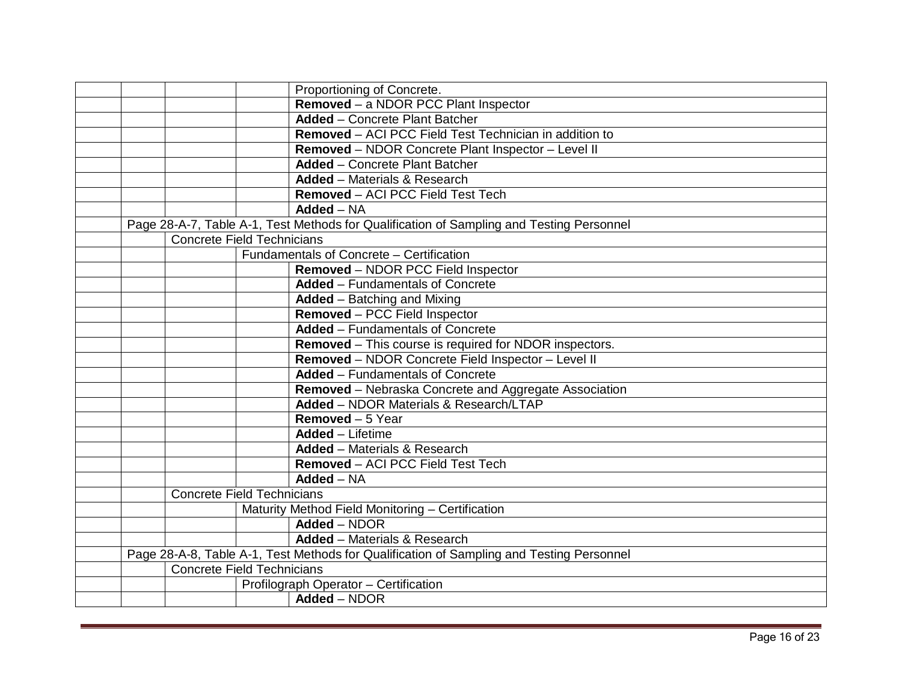|  |                                   | Proportioning of Concrete.                                                               |
|--|-----------------------------------|------------------------------------------------------------------------------------------|
|  |                                   | Removed - a NDOR PCC Plant Inspector                                                     |
|  |                                   | <b>Added</b> - Concrete Plant Batcher                                                    |
|  |                                   | Removed - ACI PCC Field Test Technician in addition to                                   |
|  |                                   | Removed - NDOR Concrete Plant Inspector - Level II                                       |
|  |                                   | <b>Added</b> - Concrete Plant Batcher                                                    |
|  |                                   | <b>Added</b> - Materials & Research                                                      |
|  |                                   | Removed - ACI PCC Field Test Tech                                                        |
|  |                                   | $Added - NA$                                                                             |
|  |                                   | Page 28-A-7, Table A-1, Test Methods for Qualification of Sampling and Testing Personnel |
|  | <b>Concrete Field Technicians</b> |                                                                                          |
|  |                                   | Fundamentals of Concrete - Certification                                                 |
|  |                                   | <b>Removed - NDOR PCC Field Inspector</b>                                                |
|  |                                   | <b>Added</b> – Fundamentals of Concrete                                                  |
|  |                                   | <b>Added</b> – Batching and Mixing                                                       |
|  |                                   | Removed - PCC Field Inspector                                                            |
|  |                                   | <b>Added - Fundamentals of Concrete</b>                                                  |
|  |                                   | Removed - This course is required for NDOR inspectors.                                   |
|  |                                   | Removed - NDOR Concrete Field Inspector - Level II                                       |
|  |                                   | <b>Added - Fundamentals of Concrete</b>                                                  |
|  |                                   | Removed - Nebraska Concrete and Aggregate Association                                    |
|  |                                   | Added - NDOR Materials & Research/LTAP                                                   |
|  |                                   | Removed - 5 Year                                                                         |
|  |                                   | <b>Added</b> - Lifetime                                                                  |
|  |                                   | <b>Added</b> - Materials & Research                                                      |
|  |                                   | Removed - ACI PCC Field Test Tech                                                        |
|  |                                   | <b>Added - NA</b>                                                                        |
|  | <b>Concrete Field Technicians</b> |                                                                                          |
|  |                                   | Maturity Method Field Monitoring - Certification                                         |
|  |                                   | Added - NDOR                                                                             |
|  |                                   | <b>Added</b> - Materials & Research                                                      |
|  |                                   | Page 28-A-8, Table A-1, Test Methods for Qualification of Sampling and Testing Personnel |
|  | <b>Concrete Field Technicians</b> |                                                                                          |
|  |                                   | Profilograph Operator - Certification                                                    |
|  |                                   | Added - NDOR                                                                             |
|  |                                   |                                                                                          |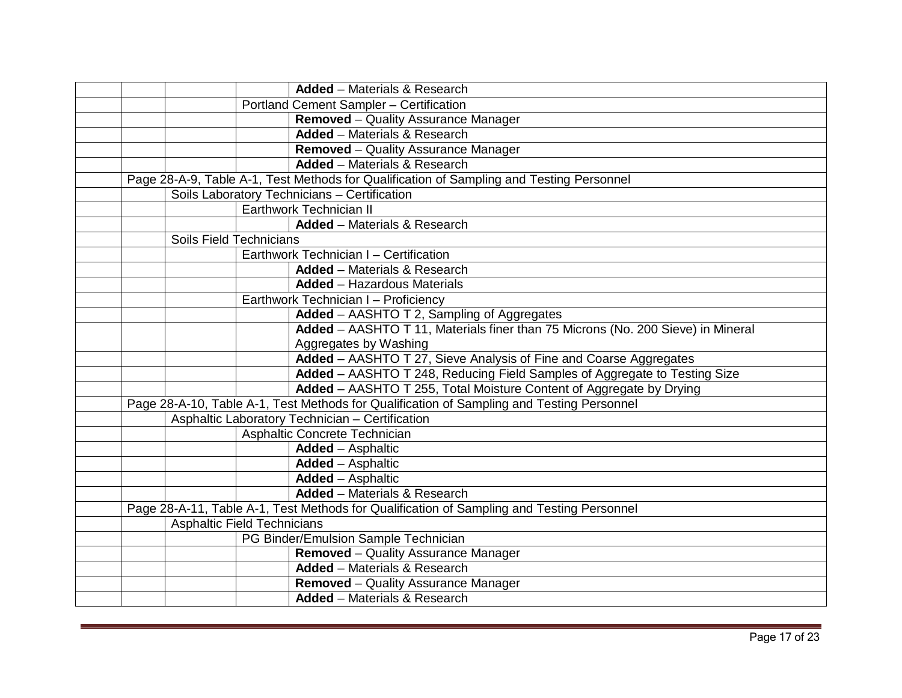|  |                                    | <b>Added</b> - Materials & Research                                                       |
|--|------------------------------------|-------------------------------------------------------------------------------------------|
|  |                                    | Portland Cement Sampler - Certification                                                   |
|  |                                    | Removed - Quality Assurance Manager                                                       |
|  |                                    | <b>Added</b> - Materials & Research                                                       |
|  |                                    | <b>Removed</b> – Quality Assurance Manager                                                |
|  |                                    | <b>Added</b> - Materials & Research                                                       |
|  |                                    | Page 28-A-9, Table A-1, Test Methods for Qualification of Sampling and Testing Personnel  |
|  |                                    | Soils Laboratory Technicians - Certification                                              |
|  |                                    | Earthwork Technician II                                                                   |
|  |                                    | <b>Added</b> - Materials & Research                                                       |
|  | Soils Field Technicians            |                                                                                           |
|  |                                    | Earthwork Technician I - Certification                                                    |
|  |                                    | <b>Added</b> - Materials & Research                                                       |
|  |                                    | <b>Added</b> - Hazardous Materials                                                        |
|  |                                    | Earthwork Technician I - Proficiency                                                      |
|  |                                    | Added - AASHTO T 2, Sampling of Aggregates                                                |
|  |                                    | Added - AASHTO T 11, Materials finer than 75 Microns (No. 200 Sieve) in Mineral           |
|  |                                    | Aggregates by Washing                                                                     |
|  |                                    | Added - AASHTO T 27, Sieve Analysis of Fine and Coarse Aggregates                         |
|  |                                    | Added - AASHTO T 248, Reducing Field Samples of Aggregate to Testing Size                 |
|  |                                    | Added - AASHTO T 255, Total Moisture Content of Aggregate by Drying                       |
|  |                                    | Page 28-A-10, Table A-1, Test Methods for Qualification of Sampling and Testing Personnel |
|  |                                    | Asphaltic Laboratory Technician - Certification                                           |
|  |                                    | Asphaltic Concrete Technician                                                             |
|  |                                    | <b>Added</b> - Asphaltic                                                                  |
|  |                                    | <b>Added</b> - Asphaltic                                                                  |
|  |                                    | <b>Added - Asphaltic</b>                                                                  |
|  |                                    | <b>Added</b> - Materials & Research                                                       |
|  |                                    | Page 28-A-11, Table A-1, Test Methods for Qualification of Sampling and Testing Personnel |
|  | <b>Asphaltic Field Technicians</b> |                                                                                           |
|  |                                    | PG Binder/Emulsion Sample Technician                                                      |
|  |                                    | <b>Removed</b> – Quality Assurance Manager                                                |
|  |                                    | <b>Added</b> – Materials & Research                                                       |
|  |                                    | <b>Removed</b> – Quality Assurance Manager                                                |
|  |                                    | <b>Added</b> - Materials & Research                                                       |
|  |                                    |                                                                                           |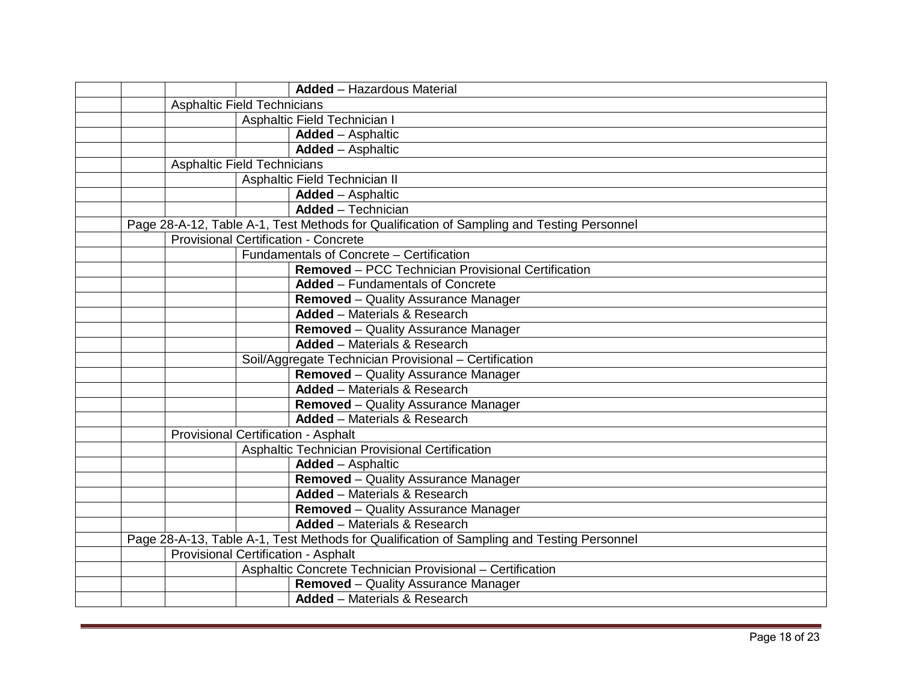|  |                                            | <b>Added</b> - Hazardous Material                                                         |
|--|--------------------------------------------|-------------------------------------------------------------------------------------------|
|  | <b>Asphaltic Field Technicians</b>         |                                                                                           |
|  |                                            | Asphaltic Field Technician I                                                              |
|  |                                            | <b>Added</b> - Asphaltic                                                                  |
|  |                                            | <b>Added</b> - Asphaltic                                                                  |
|  | <b>Asphaltic Field Technicians</b>         |                                                                                           |
|  |                                            | Asphaltic Field Technician II                                                             |
|  |                                            | <b>Added</b> - Asphaltic                                                                  |
|  |                                            | <b>Added</b> - Technician                                                                 |
|  |                                            | Page 28-A-12, Table A-1, Test Methods for Qualification of Sampling and Testing Personnel |
|  |                                            | <b>Provisional Certification - Concrete</b>                                               |
|  |                                            | Fundamentals of Concrete - Certification                                                  |
|  |                                            | Removed - PCC Technician Provisional Certification                                        |
|  |                                            | <b>Added</b> – Fundamentals of Concrete                                                   |
|  |                                            | <b>Removed</b> – Quality Assurance Manager                                                |
|  |                                            | <b>Added</b> - Materials & Research                                                       |
|  |                                            | <b>Removed</b> – Quality Assurance Manager                                                |
|  |                                            | <b>Added</b> - Materials & Research                                                       |
|  |                                            | Soil/Aggregate Technician Provisional - Certification                                     |
|  |                                            | <b>Removed</b> - Quality Assurance Manager                                                |
|  |                                            | <b>Added</b> – Materials & Research                                                       |
|  |                                            | <b>Removed</b> – Quality Assurance Manager                                                |
|  |                                            | <b>Added</b> - Materials & Research                                                       |
|  | <b>Provisional Certification - Asphalt</b> |                                                                                           |
|  |                                            | Asphaltic Technician Provisional Certification                                            |
|  |                                            | <b>Added - Asphaltic</b>                                                                  |
|  |                                            | Removed - Quality Assurance Manager                                                       |
|  |                                            | <b>Added</b> - Materials & Research                                                       |
|  |                                            | <b>Removed</b> – Quality Assurance Manager                                                |
|  |                                            | <b>Added</b> – Materials & Research                                                       |
|  |                                            | Page 28-A-13, Table A-1, Test Methods for Qualification of Sampling and Testing Personnel |
|  | <b>Provisional Certification - Asphalt</b> |                                                                                           |
|  |                                            | Asphaltic Concrete Technician Provisional - Certification                                 |
|  |                                            | <b>Removed</b> – Quality Assurance Manager                                                |
|  |                                            | <b>Added</b> - Materials & Research                                                       |
|  |                                            |                                                                                           |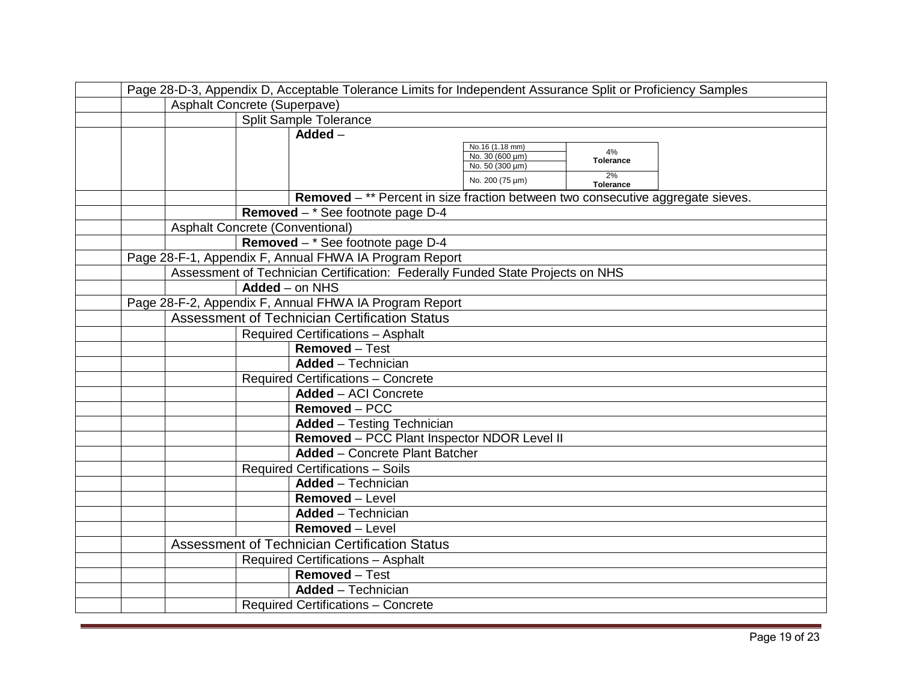|                                                        | Page 28-D-3, Appendix D, Acceptable Tolerance Limits for Independent Assurance Split or Proficiency Samples |                  |                                                                                 |  |
|--------------------------------------------------------|-------------------------------------------------------------------------------------------------------------|------------------|---------------------------------------------------------------------------------|--|
|                                                        | Asphalt Concrete (Superpave)                                                                                |                  |                                                                                 |  |
|                                                        |                                                                                                             |                  | Split Sample Tolerance                                                          |  |
|                                                        |                                                                                                             |                  | $\overline{\mathsf{Added}}$ -                                                   |  |
|                                                        |                                                                                                             |                  | No.16 (1.18 mm)<br>4%<br>No. 30 (600 µm)                                        |  |
|                                                        |                                                                                                             |                  | <b>Tolerance</b><br>No. 50 $(300 \mu m)$                                        |  |
|                                                        |                                                                                                             |                  | 2%<br>No. 200 (75 µm)<br><b>Tolerance</b>                                       |  |
|                                                        |                                                                                                             |                  | Removed - ** Percent in size fraction between two consecutive aggregate sieves. |  |
|                                                        |                                                                                                             |                  | Removed $-$ * See footnote page D-4                                             |  |
|                                                        | <b>Asphalt Concrete (Conventional)</b>                                                                      |                  |                                                                                 |  |
|                                                        |                                                                                                             |                  | Removed - * See footnote page D-4                                               |  |
|                                                        |                                                                                                             |                  | Page 28-F-1, Appendix F, Annual FHWA IA Program Report                          |  |
|                                                        |                                                                                                             |                  | Assessment of Technician Certification: Federally Funded State Projects on NHS  |  |
|                                                        |                                                                                                             | $Added$ – on NHS |                                                                                 |  |
| Page 28-F-2, Appendix F, Annual FHWA IA Program Report |                                                                                                             |                  |                                                                                 |  |
|                                                        |                                                                                                             |                  | <b>Assessment of Technician Certification Status</b>                            |  |
|                                                        |                                                                                                             |                  | <b>Required Certifications - Asphalt</b>                                        |  |
|                                                        |                                                                                                             |                  | <b>Removed</b> – Test                                                           |  |
|                                                        |                                                                                                             |                  | <b>Added</b> - Technician                                                       |  |
|                                                        |                                                                                                             |                  | <b>Required Certifications - Concrete</b>                                       |  |
|                                                        |                                                                                                             |                  | <b>Added - ACI Concrete</b>                                                     |  |
|                                                        |                                                                                                             |                  | Removed - PCC                                                                   |  |
|                                                        |                                                                                                             |                  | <b>Added</b> - Testing Technician                                               |  |
|                                                        |                                                                                                             |                  | Removed - PCC Plant Inspector NDOR Level II                                     |  |
|                                                        |                                                                                                             |                  | <b>Added</b> – Concrete Plant Batcher                                           |  |
|                                                        |                                                                                                             |                  | <b>Required Certifications - Soils</b>                                          |  |
|                                                        |                                                                                                             |                  | <b>Added</b> - Technician                                                       |  |
|                                                        |                                                                                                             |                  | <b>Removed - Level</b>                                                          |  |
|                                                        |                                                                                                             |                  | <b>Added</b> - Technician                                                       |  |
|                                                        |                                                                                                             |                  | <b>Removed - Level</b>                                                          |  |
|                                                        |                                                                                                             |                  | <b>Assessment of Technician Certification Status</b>                            |  |
|                                                        |                                                                                                             |                  | <b>Required Certifications - Asphalt</b>                                        |  |
|                                                        |                                                                                                             |                  | Removed - Test                                                                  |  |
|                                                        |                                                                                                             |                  | <b>Added</b> - Technician                                                       |  |
|                                                        |                                                                                                             |                  | <b>Required Certifications - Concrete</b>                                       |  |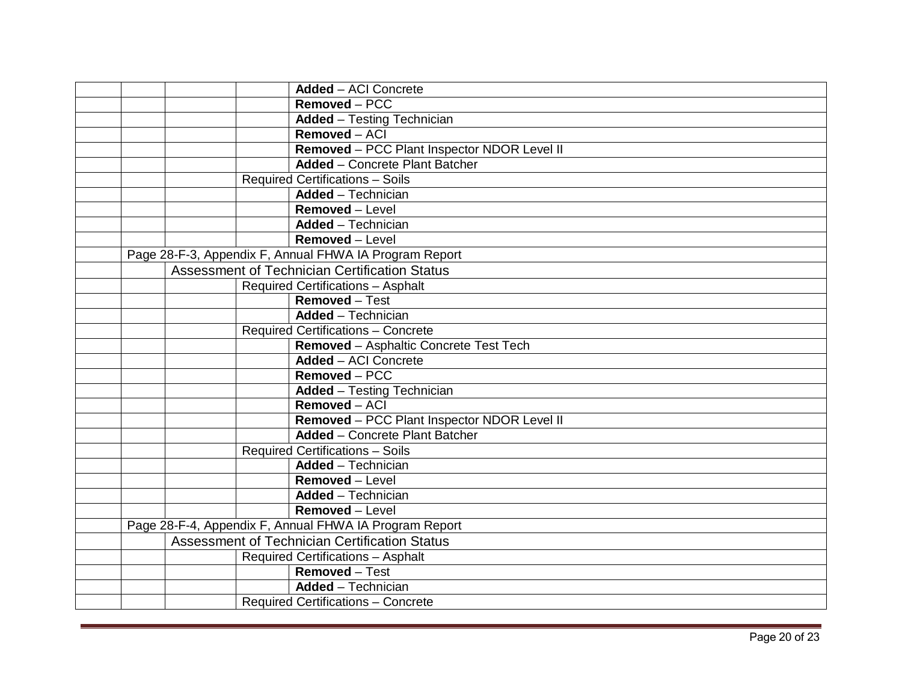|  | <b>Added - ACI Concrete</b>                            |
|--|--------------------------------------------------------|
|  | Removed - PCC                                          |
|  | <b>Added</b> - Testing Technician                      |
|  | $Removed - ACI$                                        |
|  | Removed - PCC Plant Inspector NDOR Level II            |
|  | <b>Added</b> - Concrete Plant Batcher                  |
|  | <b>Required Certifications - Soils</b>                 |
|  | <b>Added</b> - Technician                              |
|  | Removed - Level                                        |
|  | <b>Added</b> - Technician                              |
|  | Removed - Level                                        |
|  | Page 28-F-3, Appendix F, Annual FHWA IA Program Report |
|  | <b>Assessment of Technician Certification Status</b>   |
|  | <b>Required Certifications - Asphalt</b>               |
|  | Removed - Test                                         |
|  | <b>Added</b> - Technician                              |
|  | <b>Required Certifications - Concrete</b>              |
|  | Removed - Asphaltic Concrete Test Tech                 |
|  | <b>Added - ACI Concrete</b>                            |
|  | Removed - PCC                                          |
|  | <b>Added</b> - Testing Technician                      |
|  | Removed - ACI                                          |
|  | Removed - PCC Plant Inspector NDOR Level II            |
|  | <b>Added</b> - Concrete Plant Batcher                  |
|  | <b>Required Certifications - Soils</b>                 |
|  | <b>Added</b> - Technician                              |
|  | Removed - Level                                        |
|  | <b>Added</b> - Technician                              |
|  | Removed - Level                                        |
|  | Page 28-F-4, Appendix F, Annual FHWA IA Program Report |
|  | <b>Assessment of Technician Certification Status</b>   |
|  | <b>Required Certifications - Asphalt</b>               |
|  | Removed - Test                                         |
|  | <b>Added</b> - Technician                              |
|  | <b>Required Certifications - Concrete</b>              |
|  |                                                        |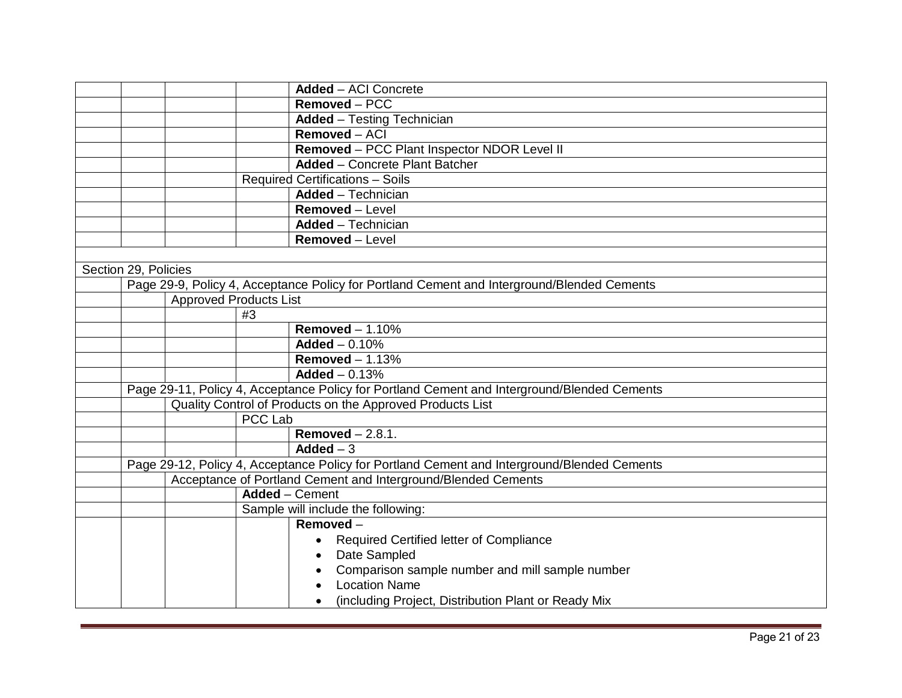|                      |                               |                | <b>Added - ACI Concrete</b>                                                                 |
|----------------------|-------------------------------|----------------|---------------------------------------------------------------------------------------------|
|                      |                               |                | Removed - PCC                                                                               |
|                      |                               |                | <b>Added</b> - Testing Technician                                                           |
|                      |                               |                | Removed - ACI                                                                               |
|                      |                               |                | Removed - PCC Plant Inspector NDOR Level II                                                 |
|                      |                               |                | <b>Added</b> – Concrete Plant Batcher                                                       |
|                      |                               |                | <b>Required Certifications - Soils</b>                                                      |
|                      |                               |                | <b>Added</b> - Technician                                                                   |
|                      |                               |                | Removed - Level                                                                             |
|                      |                               |                | <b>Added</b> - Technician                                                                   |
|                      |                               |                | <b>Removed</b> – Level                                                                      |
|                      |                               |                |                                                                                             |
| Section 29, Policies |                               |                |                                                                                             |
|                      |                               |                | Page 29-9, Policy 4, Acceptance Policy for Portland Cement and Interground/Blended Cements  |
|                      | <b>Approved Products List</b> |                |                                                                                             |
|                      |                               | #3             |                                                                                             |
|                      |                               |                | Removed $-1.10\%$                                                                           |
|                      |                               |                | $Added - 0.10%$                                                                             |
|                      |                               |                | Removed $-1.13%$                                                                            |
|                      |                               |                | Added $- 0.13%$                                                                             |
|                      |                               |                | Page 29-11, Policy 4, Acceptance Policy for Portland Cement and Interground/Blended Cements |
|                      |                               |                | Quality Control of Products on the Approved Products List                                   |
|                      |                               | <b>PCC Lab</b> |                                                                                             |
|                      |                               |                | Removed $-2.8.1$ .                                                                          |
|                      |                               |                | Added $-3$                                                                                  |
|                      |                               |                | Page 29-12, Policy 4, Acceptance Policy for Portland Cement and Interground/Blended Cements |
|                      |                               |                | Acceptance of Portland Cement and Interground/Blended Cements                               |
|                      |                               |                | <b>Added</b> – Cement                                                                       |
|                      |                               |                | Sample will include the following:                                                          |
|                      |                               |                | Removed-                                                                                    |
|                      |                               |                | Required Certified letter of Compliance                                                     |
|                      |                               |                | Date Sampled                                                                                |
|                      |                               |                | Comparison sample number and mill sample number                                             |
|                      |                               |                | <b>Location Name</b>                                                                        |
|                      |                               |                | (including Project, Distribution Plant or Ready Mix                                         |
|                      |                               |                |                                                                                             |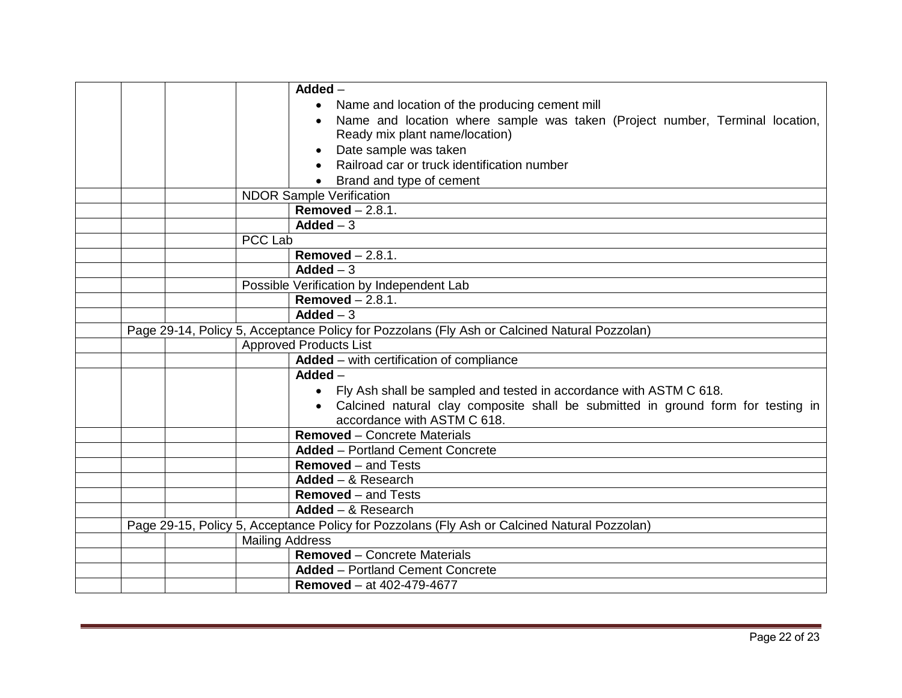|  |                        | $Added -$                                                                                    |
|--|------------------------|----------------------------------------------------------------------------------------------|
|  |                        | Name and location of the producing cement mill<br>$\bullet$                                  |
|  |                        | Name and location where sample was taken (Project number, Terminal location,                 |
|  |                        | Ready mix plant name/location)                                                               |
|  |                        | Date sample was taken                                                                        |
|  |                        | Railroad car or truck identification number                                                  |
|  |                        | Brand and type of cement                                                                     |
|  |                        | <b>NDOR Sample Verification</b>                                                              |
|  |                        | Removed $-2.8.1$ .                                                                           |
|  |                        | Added $-3$                                                                                   |
|  | <b>PCC Lab</b>         |                                                                                              |
|  |                        | Removed $-2.8.1$ .                                                                           |
|  |                        | $\overline{\mathsf{Added}} - 3$                                                              |
|  |                        | Possible Verification by Independent Lab                                                     |
|  |                        | Removed $-2.8.1$ .                                                                           |
|  |                        | Added $-3$                                                                                   |
|  |                        | Page 29-14, Policy 5, Acceptance Policy for Pozzolans (Fly Ash or Calcined Natural Pozzolan) |
|  |                        | <b>Approved Products List</b>                                                                |
|  |                        | Added - with certification of compliance                                                     |
|  |                        | $Added -$                                                                                    |
|  |                        | • Fly Ash shall be sampled and tested in accordance with ASTM C 618.                         |
|  |                        | Calcined natural clay composite shall be submitted in ground form for testing in             |
|  |                        | accordance with ASTM C 618.                                                                  |
|  |                        | <b>Removed</b> – Concrete Materials                                                          |
|  |                        | <b>Added</b> - Portland Cement Concrete                                                      |
|  |                        | <b>Removed</b> – and Tests                                                                   |
|  |                        | Added $-$ & Research                                                                         |
|  |                        | <b>Removed</b> – and Tests                                                                   |
|  |                        | Added $-$ & Research                                                                         |
|  |                        | Page 29-15, Policy 5, Acceptance Policy for Pozzolans (Fly Ash or Calcined Natural Pozzolan) |
|  | <b>Mailing Address</b> |                                                                                              |
|  |                        | <b>Removed</b> – Concrete Materials                                                          |
|  |                        | <b>Added</b> – Portland Cement Concrete                                                      |
|  |                        | <b>Removed</b> – at 402-479-4677                                                             |